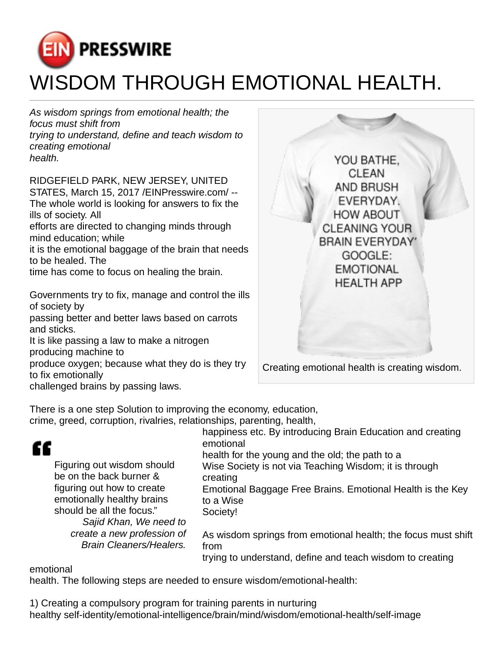

As wisdom springs from emotional health; the focus must shift from trying to understand, define and teach wisdom to creating emotional health.

RIDGEFIELD PARK, NEW JERSEY, UNITED STATES, March 15, 2017 [/EINPresswire.com](http://www.einpresswire.com)/ -- The whole world is looking for answers to fix the ills of society. All efforts are directed to changing minds through

mind education; while it is the emotional baggage of the brain that needs

to be healed. The

time has come to focus on healing the brain.

Governments try to fix, manage and control the ills of society by

passing better and better laws based on carrots and sticks.

It is like passing a law to make a nitrogen producing machine to

produce oxygen; because what they do is they try to fix emotionally

challenged brains by passing laws.



There is a one step Solution to improving the economy, education,

crime, greed, corruption, rivalries, relationships, parenting, health,

| ££<br>Figuring out wisdom should<br>be on the back burner &                                                     | happiness etc. By introducing Brain Education and creating<br>emotional<br>health for the young and the old; the path to a         |
|-----------------------------------------------------------------------------------------------------------------|------------------------------------------------------------------------------------------------------------------------------------|
|                                                                                                                 | Wise Society is not via Teaching Wisdom; it is through<br>creating                                                                 |
| figuring out how to create<br>emotionally healthy brains<br>should be all the focus."<br>Sajid Khan, We need to | Emotional Baggage Free Brains. Emotional Health is the Key<br>to a Wise<br>Society!                                                |
| create a new profession of<br><b>Brain Cleaners/Healers.</b>                                                    | As wisdom springs from emotional health; the focus must shift<br>from<br>trying to understand, define and teach wisdom to creating |
| emotional                                                                                                       |                                                                                                                                    |

health. The following steps are needed to ensure wisdom/emotional-health:

1) Creating a compulsory program for training parents in nurturing healthy self-identity/emotional-intelligence/brain/mind/wisdom/emotional-health/self-image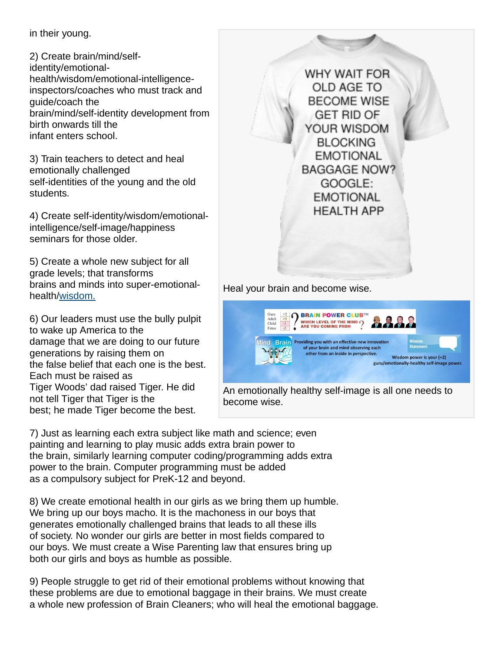in their young.

2) Create brain/mind/selfidentity/emotionalhealth/wisdom/emotional-intelligence inspectors/coaches who must track and guide/coach the brain/mind/self-identity development from birth onwards till the infant enters school.

3) Train teachers to detect and heal emotionally challenged self-identities of the young and the old students.

4) Create self-identity/wisdom/emotionalintelligence/self-image/happiness seminars for those older.

5) Create a whole new subject for all grade levels; that transforms brains and minds into super-emotionalhealth[/wisdom.](http://www.einpresswire.com/shareable-preview/FoZeH9Y9BTtt4VgL)

6) Our leaders must use the bully pulpit to wake up America to the damage that we are doing to our future generations by raising them on the false belief that each one is the best. Each must be raised as Tiger Woods' dad raised Tiger. He did not tell Tiger that Tiger is the best; he made Tiger become the best.

WHY WAIT FOR OLD AGE TO **BECOME WISE GET RID OF** YOUR WISDOM **BLOCKING EMOTIONAL BAGGAGE NOW?** GOOGLE: **EMOTIONAL HEALTH APP** Heal your brain and become wise.



An emotionally healthy self-image is all one needs to become wise.

7) Just as learning each extra subject like math and science; even painting and learning to play music adds extra brain power to the brain, similarly learning computer coding/programming adds extra power to the brain. Computer programming must be added as a compulsory subject for PreK-12 and beyond.

8) We create emotional health in our girls as we bring them up humble. We bring up our boys macho. It is the machoness in our boys that generates emotionally challenged brains that leads to all these ills of society. No wonder our girls are better in most fields compared to our boys. We must create a Wise Parenting law that ensures bring up both our girls and boys as humble as possible.

9) People struggle to get rid of their emotional problems without knowing that these problems are due to emotional baggage in their brains. We must create a whole new profession of Brain Cleaners; who will heal the emotional baggage.